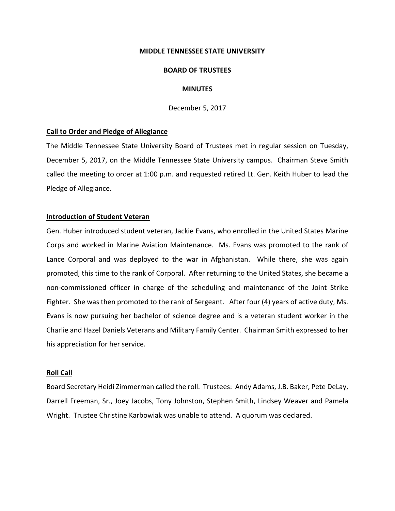#### **MIDDLE TENNESSEE STATE UNIVERSITY**

#### **BOARD OF TRUSTEES**

# **MINUTES**

December 5, 2017

### **Call to Order and Pledge of Allegiance**

The Middle Tennessee State University Board of Trustees met in regular session on Tuesday, December 5, 2017, on the Middle Tennessee State University campus. Chairman Steve Smith called the meeting to order at 1:00 p.m. and requested retired Lt. Gen. Keith Huber to lead the Pledge of Allegiance.

#### **Introduction of Student Veteran**

Gen. Huber introduced student veteran, Jackie Evans, who enrolled in the United States Marine Corps and worked in Marine Aviation Maintenance. Ms. Evans was promoted to the rank of Lance Corporal and was deployed to the war in Afghanistan. While there, she was again promoted, this time to the rank of Corporal. After returning to the United States, she became a non‐commissioned officer in charge of the scheduling and maintenance of the Joint Strike Fighter. She was then promoted to the rank of Sergeant. After four (4) years of active duty, Ms. Evans is now pursuing her bachelor of science degree and is a veteran student worker in the Charlie and Hazel Daniels Veterans and Military Family Center. Chairman Smith expressed to her his appreciation for her service.

# **Roll Call**

Board Secretary Heidi Zimmerman called the roll. Trustees: Andy Adams, J.B. Baker, Pete DeLay, Darrell Freeman, Sr., Joey Jacobs, Tony Johnston, Stephen Smith, Lindsey Weaver and Pamela Wright. Trustee Christine Karbowiak was unable to attend. A quorum was declared.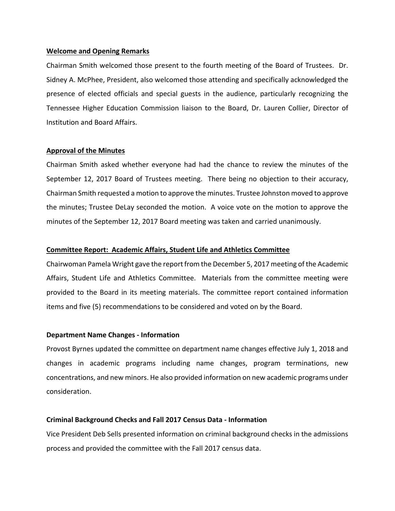### **Welcome and Opening Remarks**

Chairman Smith welcomed those present to the fourth meeting of the Board of Trustees. Dr. Sidney A. McPhee, President, also welcomed those attending and specifically acknowledged the presence of elected officials and special guests in the audience, particularly recognizing the Tennessee Higher Education Commission liaison to the Board, Dr. Lauren Collier, Director of Institution and Board Affairs.

#### **Approval of the Minutes**

Chairman Smith asked whether everyone had had the chance to review the minutes of the September 12, 2017 Board of Trustees meeting. There being no objection to their accuracy, Chairman Smith requested a motion to approve the minutes. Trustee Johnston moved to approve the minutes; Trustee DeLay seconded the motion. A voice vote on the motion to approve the minutes of the September 12, 2017 Board meeting was taken and carried unanimously.

### **Committee Report: Academic Affairs, Student Life and Athletics Committee**

Chairwoman Pamela Wright gave the report from the December 5, 2017 meeting of the Academic Affairs, Student Life and Athletics Committee. Materials from the committee meeting were provided to the Board in its meeting materials. The committee report contained information items and five (5) recommendations to be considered and voted on by the Board.

#### **Department Name Changes ‐ Information**

Provost Byrnes updated the committee on department name changes effective July 1, 2018 and changes in academic programs including name changes, program terminations, new concentrations, and new minors. He also provided information on new academic programs under consideration.

# **Criminal Background Checks and Fall 2017 Census Data ‐ Information**

Vice President Deb Sells presented information on criminal background checks in the admissions process and provided the committee with the Fall 2017 census data.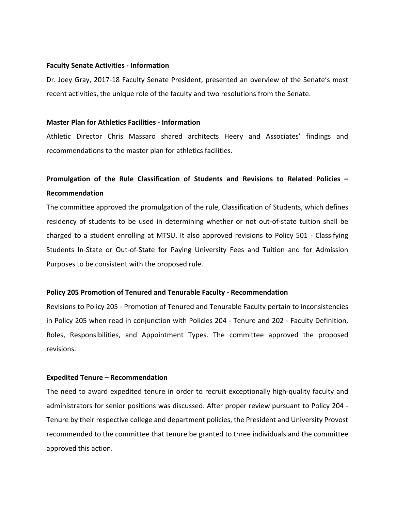#### **Faculty Senate Activities ‐ Information**

Dr. Joey Gray, 2017‐18 Faculty Senate President, presented an overview of the Senate's most recent activities, the unique role of the faculty and two resolutions from the Senate.

### **Master Plan for Athletics Facilities ‐ Information**

Athletic Director Chris Massaro shared architects Heery and Associates' findings and recommendations to the master plan for athletics facilities.

# **Promulgation of the Rule Classification of Students and Revisions to Related Policies – Recommendation**

The committee approved the promulgation of the rule, Classification of Students, which defines residency of students to be used in determining whether or not out‐of‐state tuition shall be charged to a student enrolling at MTSU. It also approved revisions to Policy 501 ‐ Classifying Students In‐State or Out‐of‐State for Paying University Fees and Tuition and for Admission Purposes to be consistent with the proposed rule.

# **Policy 205 Promotion of Tenured and Tenurable Faculty ‐ Recommendation**

Revisions to Policy 205 ‐ Promotion of Tenured and Tenurable Faculty pertain to inconsistencies in Policy 205 when read in conjunction with Policies 204 ‐ Tenure and 202 ‐ Faculty Definition, Roles, Responsibilities, and Appointment Types. The committee approved the proposed revisions.

# **Expedited Tenure – Recommendation**

The need to award expedited tenure in order to recruit exceptionally high-quality faculty and administrators for senior positions was discussed. After proper review pursuant to Policy 204 ‐ Tenure by their respective college and department policies, the President and University Provost recommended to the committee that tenure be granted to three individuals and the committee approved this action.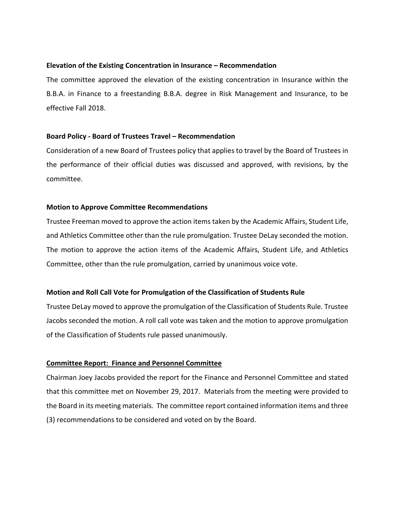# **Elevation of the Existing Concentration in Insurance – Recommendation**

The committee approved the elevation of the existing concentration in Insurance within the B.B.A. in Finance to a freestanding B.B.A. degree in Risk Management and Insurance, to be effective Fall 2018.

# **Board Policy ‐ Board of Trustees Travel – Recommendation**

Consideration of a new Board of Trustees policy that applies to travel by the Board of Trustees in the performance of their official duties was discussed and approved, with revisions, by the committee.

# **Motion to Approve Committee Recommendations**

Trustee Freeman moved to approve the action items taken by the Academic Affairs, Student Life, and Athletics Committee other than the rule promulgation. Trustee DeLay seconded the motion. The motion to approve the action items of the Academic Affairs, Student Life, and Athletics Committee, other than the rule promulgation, carried by unanimous voice vote.

# **Motion and Roll Call Vote for Promulgation of the Classification of Students Rule**

Trustee DeLay moved to approve the promulgation of the Classification of Students Rule. Trustee Jacobs seconded the motion. A roll call vote was taken and the motion to approve promulgation of the Classification of Students rule passed unanimously.

# **Committee Report: Finance and Personnel Committee**

Chairman Joey Jacobs provided the report for the Finance and Personnel Committee and stated that this committee met on November 29, 2017. Materials from the meeting were provided to the Board in its meeting materials. The committee report contained information items and three (3) recommendations to be considered and voted on by the Board.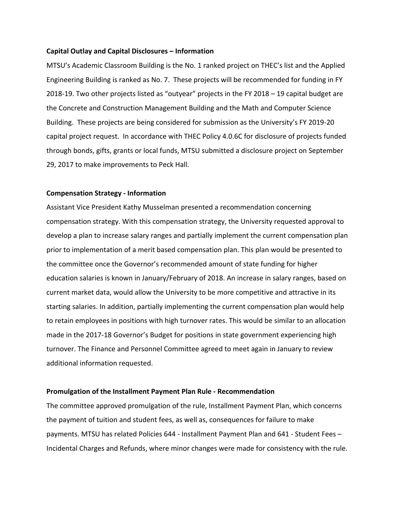#### **Capital Outlay and Capital Disclosures – Information**

MTSU's Academic Classroom Building is the No. 1 ranked project on THEC's list and the Applied Engineering Building is ranked as No. 7. These projects will be recommended for funding in FY 2018‐19. Two other projects listed as "outyear" projects in the FY 2018 – 19 capital budget are the Concrete and Construction Management Building and the Math and Computer Science Building. These projects are being considered for submission as the University's FY 2019‐20 capital project request. In accordance with THEC Policy 4.0.6C for disclosure of projects funded through bonds, gifts, grants or local funds, MTSU submitted a disclosure project on September 29, 2017 to make improvements to Peck Hall.

#### **Compensation Strategy ‐ Information**

Assistant Vice President Kathy Musselman presented a recommendation concerning compensation strategy. With this compensation strategy, the University requested approval to develop a plan to increase salary ranges and partially implement the current compensation plan prior to implementation of a merit based compensation plan. This plan would be presented to the committee once the Governor's recommended amount of state funding for higher education salaries is known in January/February of 2018. An increase in salary ranges, based on current market data, would allow the University to be more competitive and attractive in its starting salaries. In addition, partially implementing the current compensation plan would help to retain employees in positions with high turnover rates. This would be similar to an allocation made in the 2017‐18 Governor's Budget for positions in state government experiencing high turnover. The Finance and Personnel Committee agreed to meet again in January to review additional information requested.

#### **Promulgation of the Installment Payment Plan Rule ‐ Recommendation**

The committee approved promulgation of the rule, Installment Payment Plan, which concerns the payment of tuition and student fees, as well as, consequences for failure to make payments. MTSU has related Policies 644 ‐ Installment Payment Plan and 641 ‐ Student Fees – Incidental Charges and Refunds, where minor changes were made for consistency with the rule.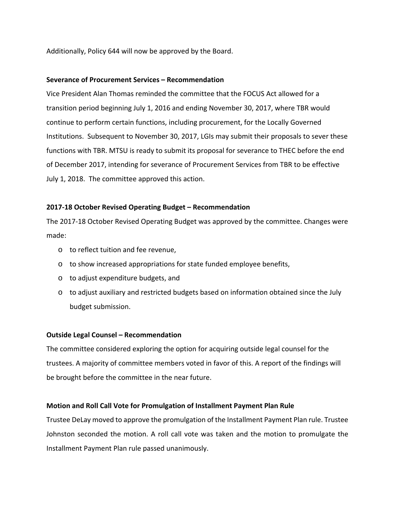Additionally, Policy 644 will now be approved by the Board.

# **Severance of Procurement Services – Recommendation**

Vice President Alan Thomas reminded the committee that the FOCUS Act allowed for a transition period beginning July 1, 2016 and ending November 30, 2017, where TBR would continue to perform certain functions, including procurement, for the Locally Governed Institutions. Subsequent to November 30, 2017, LGIs may submit their proposals to sever these functions with TBR. MTSU is ready to submit its proposal for severance to THEC before the end of December 2017, intending for severance of Procurement Services from TBR to be effective July 1, 2018. The committee approved this action.

# **2017‐18 October Revised Operating Budget – Recommendation**

The 2017‐18 October Revised Operating Budget was approved by the committee. Changes were made:

- o to reflect tuition and fee revenue,
- o to show increased appropriations for state funded employee benefits,
- o to adjust expenditure budgets, and
- o to adjust auxiliary and restricted budgets based on information obtained since the July budget submission.

# **Outside Legal Counsel – Recommendation**

The committee considered exploring the option for acquiring outside legal counsel for the trustees. A majority of committee members voted in favor of this. A report of the findings will be brought before the committee in the near future.

# **Motion and Roll Call Vote for Promulgation of Installment Payment Plan Rule**

Trustee DeLay moved to approve the promulgation of the Installment Payment Plan rule. Trustee Johnston seconded the motion. A roll call vote was taken and the motion to promulgate the Installment Payment Plan rule passed unanimously.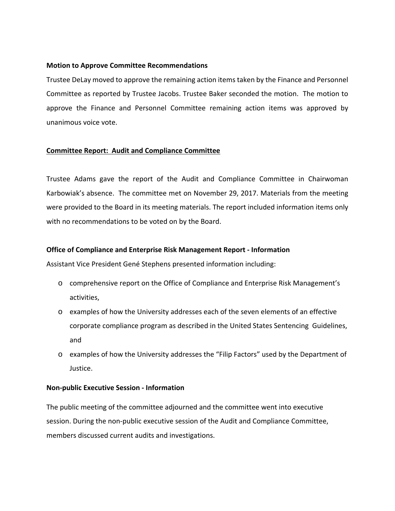# **Motion to Approve Committee Recommendations**

Trustee DeLay moved to approve the remaining action items taken by the Finance and Personnel Committee as reported by Trustee Jacobs. Trustee Baker seconded the motion. The motion to approve the Finance and Personnel Committee remaining action items was approved by unanimous voice vote.

# **Committee Report: Audit and Compliance Committee**

Trustee Adams gave the report of the Audit and Compliance Committee in Chairwoman Karbowiak's absence. The committee met on November 29, 2017. Materials from the meeting were provided to the Board in its meeting materials. The report included information items only with no recommendations to be voted on by the Board.

# **Office of Compliance and Enterprise Risk Management Report ‐ Information**

Assistant Vice President Gené Stephens presented information including:

- o comprehensive report on the Office of Compliance and Enterprise Risk Management's activities,
- o examples of how the University addresses each of the seven elements of an effective corporate compliance program as described in the United States Sentencing Guidelines, and
- o examples of how the University addresses the "Filip Factors" used by the Department of Justice.

# **Non‐public Executive Session ‐ Information**

The public meeting of the committee adjourned and the committee went into executive session. During the non-public executive session of the Audit and Compliance Committee, members discussed current audits and investigations.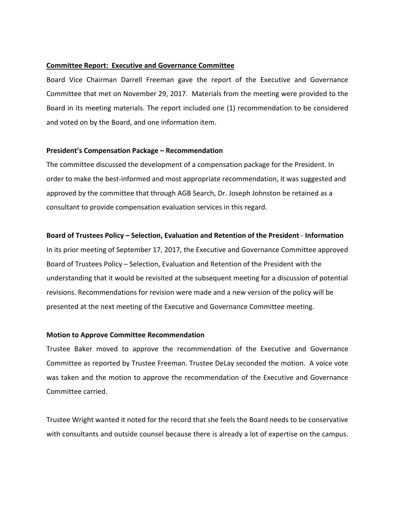# **Committee Report: Executive and Governance Committee**

Board Vice Chairman Darrell Freeman gave the report of the Executive and Governance Committee that met on November 29, 2017. Materials from the meeting were provided to the Board in its meeting materials. The report included one (1) recommendation to be considered and voted on by the Board, and one information item.

# **President's Compensation Package – Recommendation**

The committee discussed the development of a compensation package for the President. In order to make the best‐informed and most appropriate recommendation, it was suggested and approved by the committee that through AGB Search, Dr. Joseph Johnston be retained as a consultant to provide compensation evaluation services in this regard.

# **Board of Trustees Policy – Selection, Evaluation and Retention of the President** ‐ **Information**

In its prior meeting of September 17, 2017, the Executive and Governance Committee approved Board of Trustees Policy – Selection, Evaluation and Retention of the President with the understanding that it would be revisited at the subsequent meeting for a discussion of potential revisions. Recommendations for revision were made and a new version of the policy will be presented at the next meeting of the Executive and Governance Committee meeting.

# **Motion to Approve Committee Recommendation**

Trustee Baker moved to approve the recommendation of the Executive and Governance Committee as reported by Trustee Freeman. Trustee DeLay seconded the motion. A voice vote was taken and the motion to approve the recommendation of the Executive and Governance Committee carried.

Trustee Wright wanted it noted for the record that she feels the Board needs to be conservative with consultants and outside counsel because there is already a lot of expertise on the campus.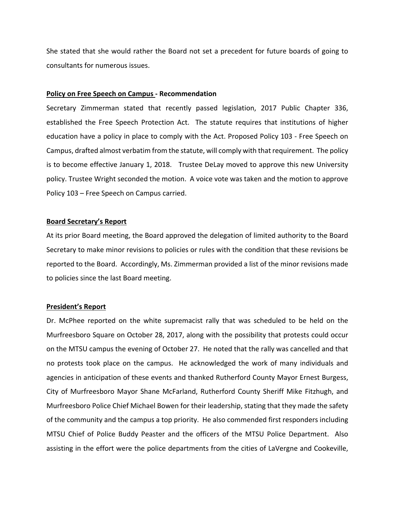She stated that she would rather the Board not set a precedent for future boards of going to consultants for numerous issues.

### **Policy on Free Speech on Campus ‐ Recommendation**

Secretary Zimmerman stated that recently passed legislation, 2017 Public Chapter 336, established the Free Speech Protection Act. The statute requires that institutions of higher education have a policy in place to comply with the Act. Proposed Policy 103 ‐ Free Speech on Campus, drafted almost verbatim from the statute, will comply with that requirement. The policy is to become effective January 1, 2018. Trustee DeLay moved to approve this new University policy. Trustee Wright seconded the motion. A voice vote was taken and the motion to approve Policy 103 – Free Speech on Campus carried.

#### **Board Secretary's Report**

At its prior Board meeting, the Board approved the delegation of limited authority to the Board Secretary to make minor revisions to policies or rules with the condition that these revisions be reported to the Board. Accordingly, Ms. Zimmerman provided a list of the minor revisions made to policies since the last Board meeting.

# **President's Report**

Dr. McPhee reported on the white supremacist rally that was scheduled to be held on the Murfreesboro Square on October 28, 2017, along with the possibility that protests could occur on the MTSU campus the evening of October 27. He noted that the rally was cancelled and that no protests took place on the campus. He acknowledged the work of many individuals and agencies in anticipation of these events and thanked Rutherford County Mayor Ernest Burgess, City of Murfreesboro Mayor Shane McFarland, Rutherford County Sheriff Mike Fitzhugh, and Murfreesboro Police Chief Michael Bowen for their leadership, stating that they made the safety of the community and the campus a top priority. He also commended first responders including MTSU Chief of Police Buddy Peaster and the officers of the MTSU Police Department. Also assisting in the effort were the police departments from the cities of LaVergne and Cookeville,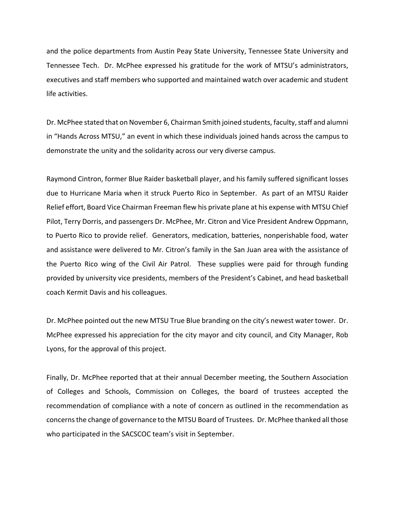and the police departments from Austin Peay State University, Tennessee State University and Tennessee Tech. Dr. McPhee expressed his gratitude for the work of MTSU's administrators, executives and staff members who supported and maintained watch over academic and student life activities.

Dr. McPhee stated that on November 6, Chairman Smith joined students, faculty, staff and alumni in "Hands Across MTSU," an event in which these individuals joined hands across the campus to demonstrate the unity and the solidarity across our very diverse campus.

Raymond Cintron, former Blue Raider basketball player, and his family suffered significant losses due to Hurricane Maria when it struck Puerto Rico in September. As part of an MTSU Raider Relief effort, Board Vice Chairman Freeman flew his private plane at his expense with MTSU Chief Pilot, Terry Dorris, and passengers Dr. McPhee, Mr. Citron and Vice President Andrew Oppmann, to Puerto Rico to provide relief. Generators, medication, batteries, nonperishable food, water and assistance were delivered to Mr. Citron's family in the San Juan area with the assistance of the Puerto Rico wing of the Civil Air Patrol. These supplies were paid for through funding provided by university vice presidents, members of the President's Cabinet, and head basketball coach Kermit Davis and his colleagues.

Dr. McPhee pointed out the new MTSU True Blue branding on the city's newest water tower. Dr. McPhee expressed his appreciation for the city mayor and city council, and City Manager, Rob Lyons, for the approval of this project.

Finally, Dr. McPhee reported that at their annual December meeting, the Southern Association of Colleges and Schools, Commission on Colleges, the board of trustees accepted the recommendation of compliance with a note of concern as outlined in the recommendation as concernsthe change of governance to the MTSU Board of Trustees. Dr. McPhee thanked all those who participated in the SACSCOC team's visit in September.